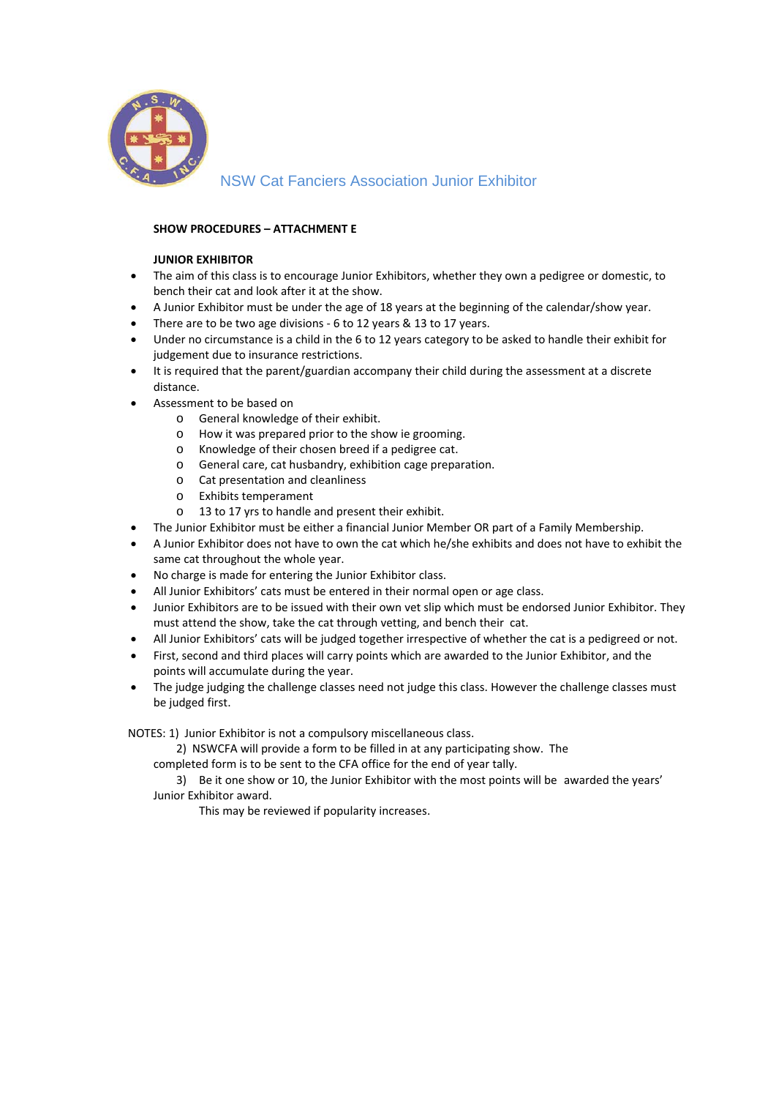

NSW Cat Fanciers Association Junior Exhibitor

## **SHOW PROCEDURES – ATTACHMENT E**

## **JUNIOR EXHIBITOR**

- The aim of this class is to encourage Junior Exhibitors, whether they own a pedigree or domestic, to bench their cat and look after it at the show.
- A Junior Exhibitor must be under the age of 18 years at the beginning of the calendar/show year.
- There are to be two age divisions 6 to 12 years & 13 to 17 years.
- Under no circumstance is a child in the 6 to 12 years category to be asked to handle their exhibit for judgement due to insurance restrictions.
- It is required that the parent/guardian accompany their child during the assessment at a discrete distance.
- Assessment to be based on
	- o General knowledge of their exhibit.
	- o How it was prepared prior to the show ie grooming.
	- o Knowledge of their chosen breed if a pedigree cat.
	- o General care, cat husbandry, exhibition cage preparation.
	- o Cat presentation and cleanliness
	- o Exhibits temperament
	- o 13 to 17 yrs to handle and present their exhibit.
- The Junior Exhibitor must be either a financial Junior Member OR part of a Family Membership.
- A Junior Exhibitor does not have to own the cat which he/she exhibits and does not have to exhibit the same cat throughout the whole year.
- No charge is made for entering the Junior Exhibitor class.
- All Junior Exhibitors' cats must be entered in their normal open or age class.
- Junior Exhibitors are to be issued with their own vet slip which must be endorsed Junior Exhibitor. They must attend the show, take the cat through vetting, and bench their cat.
- All Junior Exhibitors' cats will be judged together irrespective of whether the cat is a pedigreed or not.
- First, second and third places will carry points which are awarded to the Junior Exhibitor, and the points will accumulate during the year.
- The judge judging the challenge classes need not judge this class. However the challenge classes must be judged first.

NOTES: 1) Junior Exhibitor is not a compulsory miscellaneous class.

2) NSWCFA will provide a form to be filled in at any participating show. The

completed form is to be sent to the CFA office for the end of year tally.

 3) Be it one show or 10, the Junior Exhibitor with the most points will be awarded the years' Junior Exhibitor award.

This may be reviewed if popularity increases.